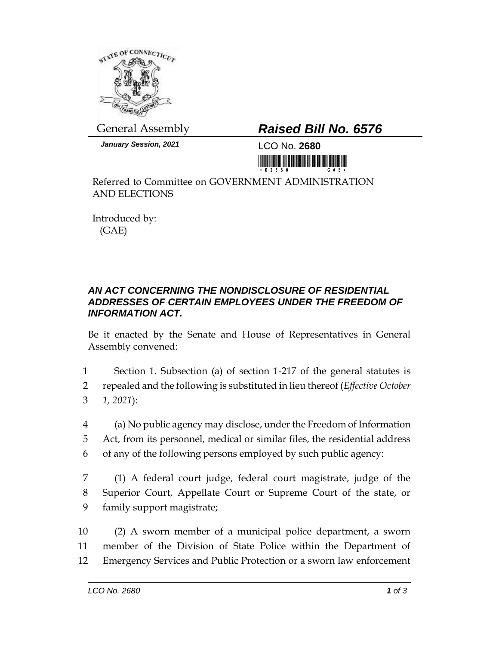

*January Session, 2021* LCO No. **2680**

## General Assembly *Raised Bill No. 6576*

<u> III jihati jihati ku matu matu j</u>

Referred to Committee on GOVERNMENT ADMINISTRATION AND ELECTIONS

Introduced by: (GAE)

## *AN ACT CONCERNING THE NONDISCLOSURE OF RESIDENTIAL ADDRESSES OF CERTAIN EMPLOYEES UNDER THE FREEDOM OF INFORMATION ACT.*

Be it enacted by the Senate and House of Representatives in General Assembly convened:

1 Section 1. Subsection (a) of section 1-217 of the general statutes is 2 repealed and the following is substituted in lieu thereof (*Effective October*  3 *1, 2021*):

4 (a) No public agency may disclose, under the Freedom of Information 5 Act, from its personnel, medical or similar files, the residential address 6 of any of the following persons employed by such public agency:

7 (1) A federal court judge, federal court magistrate, judge of the 8 Superior Court, Appellate Court or Supreme Court of the state, or 9 family support magistrate;

10 (2) A sworn member of a municipal police department, a sworn 11 member of the Division of State Police within the Department of 12 Emergency Services and Public Protection or a sworn law enforcement